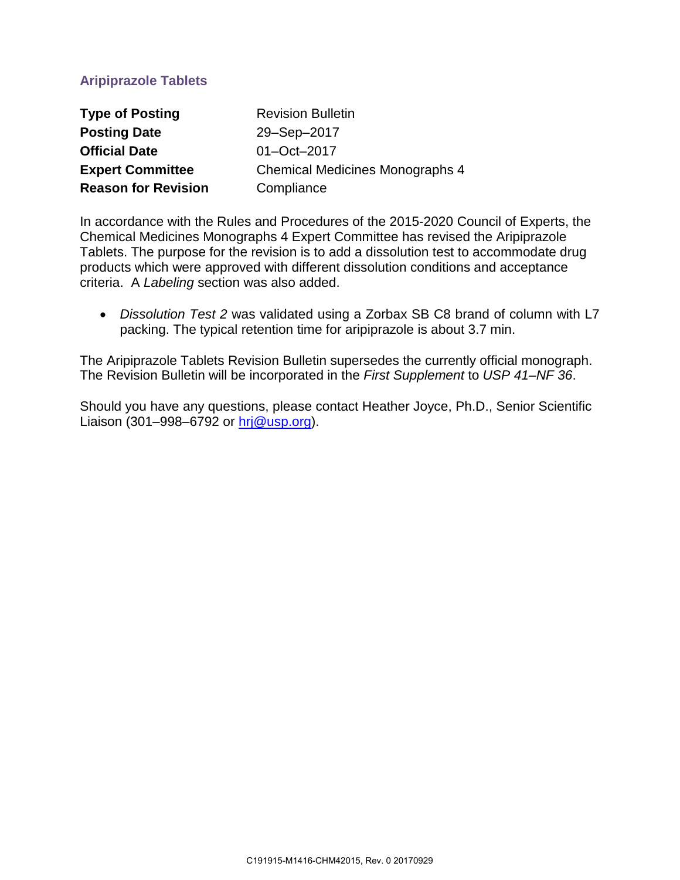# **Aripiprazole Tablets**

| <b>Type of Posting</b>     | <b>Revision Bulletin</b>               |
|----------------------------|----------------------------------------|
| <b>Posting Date</b>        | 29-Sep-2017                            |
| <b>Official Date</b>       | 01-Oct-2017                            |
| <b>Expert Committee</b>    | <b>Chemical Medicines Monographs 4</b> |
| <b>Reason for Revision</b> | Compliance                             |

In accordance with the Rules and Procedures of the 2015-2020 Council of Experts, the Chemical Medicines Monographs 4 Expert Committee has revised the Aripiprazole Tablets. The purpose for the revision is to add a dissolution test to accommodate drug products which were approved with different dissolution conditions and acceptance criteria. A *Labeling* section was also added.

• *Dissolution Test 2* was validated using a Zorbax SB C8 brand of column with L7 packing. The typical retention time for aripiprazole is about 3.7 min.

The Aripiprazole Tablets Revision Bulletin supersedes the currently official monograph. The Revision Bulletin will be incorporated in the *First Supplement* to *USP 41–NF 36*.

Should you have any questions, please contact Heather Joyce, Ph.D., Senior Scientific Liaison (301–998–6792 or [hrj@usp.org\)](mailto:hrj@usp.org).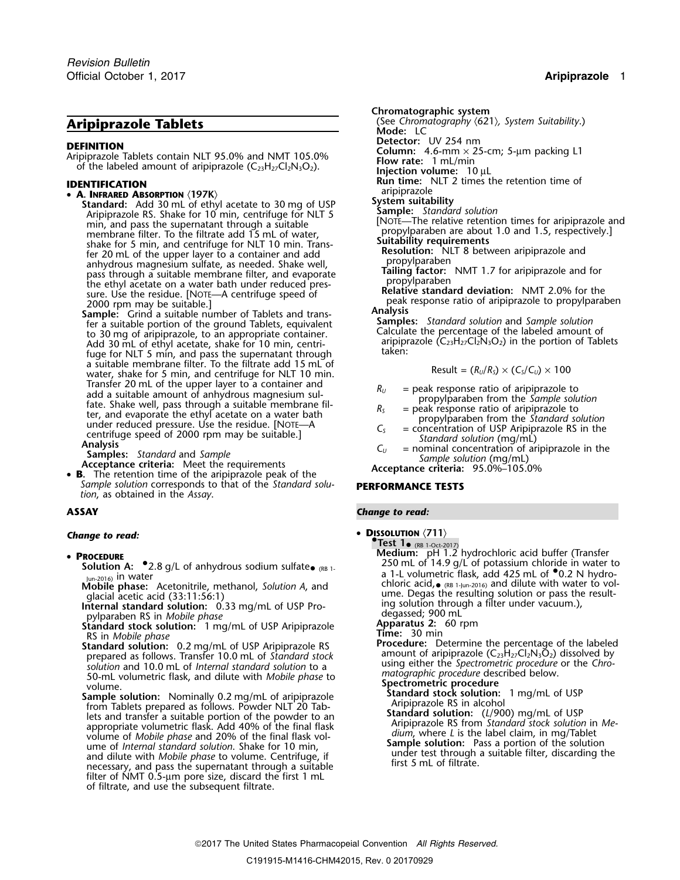• **A. INFRARED ABSORPTION**  $\langle 197K \rangle$ <br>**Standard:** Add 30 mL of ethyl acetate to 30 mg of USP System suitability<br>Aripiprazole RS. Shake for 10 min, centrifuge for NLT 5 Angle: Standard solution Mortal materials and particle in the supernatation of the supernation of the supernation of the supernation of the supernation of the supernation of the supernation of the supernation of the supernation of the suitable pro membrane filter. To the filtrate add 15 mL of water, propylparaben are about 1.0 and 1.5, respect shake for 5 min, and centrifuge for NLT 10 min. Trans-<br>For 20 mL of the upper layer to a container and add **Resolution:** NLT shake for 5 min, and centrifuge for NLT 10 min. Trans-<br>fer 20 mL of the upper layer to a container and add<br>anhydrous magnesium sulfate, as needed. Shake well,<br>and a may be a suitable membrane filter, and evaporate<br>pass th

a suitable membrane filter. To the filtrate add 15 mL of water, shake for 5 min, and centrifuge for NLT 10 min. Transfer 20 mL of the upper layer to a container and Transfer 20 mL of the upper layer to a container and<br>
and a suitable amount of anhydrous magnesium sul-<br>
fate. Shake well, pass through a suitable membrane fil-<br>
ter, and evaporate the ethyl acetate on a water bath<br>
under

 **B.** The retention time of the aripiprazole peak of the *Sample solution* corresponds to that of the *Standard solu-* **PERFORMANCE TESTS** *tion*, as obtained in the *Assay*.

- - $\frac{1}{2018}$  and  $\frac{1}{2018}$  and  $\frac{1}{2018}$  and  $\frac{1}{2018}$  and  $\frac{1}{2018}$  and  $\frac{1}{2018}$  and  $\frac{1}{2018}$  and  $\frac{1}{2018}$  and  $\frac{1}{2018}$  and  $\frac{1}{2018}$  and  $\frac{1}{2018}$  mL of  $\frac{1}{2018}$  MU of  $\frac{1}{2018}$
	-
	-
	- **Standard stock solution:** 1 mg/mL of USP Aripiprazole **Apparatus 2: RS** in *Mobile phase* **Apparatus 2: 60 rpm**
	-
	- **Example solution:** 0.2 mg/mL of USP Arispirazole RS<br> **Example phase**<br> **Example solution:** 0.2 mg/mL of DUSP Arispirazole RS<br> **Example solution:** 0.2 mg/mL of the distance of the strength prepared as follows. Transfer 10. filter of NMT 0.5-µm pore size, discard the first 1 mL of filtrate, and use the subsequent filtrate.

**Chromatographic system Aripiprazole Tablets** (See *Chromatography*  $(621)$ *, System Suitability.*) Mode: LC<br>Detector: UV 254 nm **DEFINITION**<br>Aripiprazole Tablets contain NLT 95.0% and NMT 105.0%<br>of the labeled amount of aripiprazole (C<sub>23</sub>H<sub>27</sub>Cl<sub>2</sub>N<sub>3</sub>O<sub>2</sub>).<br>**IDENTIFICATION**<br>**IDENTIFICATION**<br>**IDENTIFICATION**<br>**IDENTIFICATION**<br>**IDENTIFICATION IDENTIFICATION**<br>• A. INFRARED ABSORPTION (197K) **A. INFRARED ABSORPTION (197K)** 

$$
Result = (R_U/R_S) \times (C_S/C_U) \times 100
$$

- 
- 
- 
- 
- 

## **ASSAY** *Change to read:*

**change to read:** • **DISSOLUTION**  $\langle 711 \rangle$ 

**PREST 1•** (RB 1-Oct-2017)<br> **Medium:** pH 1.2 hydrochloric acid buffer (Transfer • Medium: pH 1.2 hydrochloric acid buffer (Transfer **<sup>P</sup>ROCEDURE** <sup>250</sup> mL of 14.9 g/L of potassium chloride in water to **Solution A:** •.2.8 g/L of anhydrous sodium sulfate• $y_{un-2016}$  in water<br> **Mobile phase:** Acetonitrile, methanol, *Solution A*, and<br>
glacial acetic acid (33:11:56:1)<br> **Internal standard solution:** 0.33 mg/mL of USP Pro-<br> **Internal standard solution:** 0.33 mg/mL of USP Pro-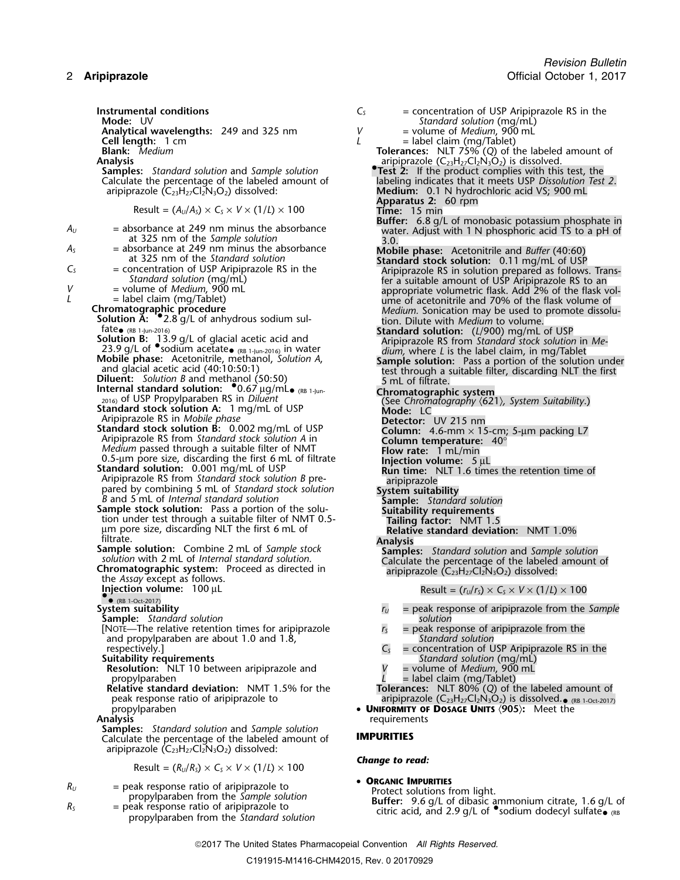**Instrumental conditions**  $C_5$  = concentration of USP Aripiprazole RS in the **Mode:** UV **Mode:** UV

Result = 
$$
(A_U/A_S) \times C_S \times V \times (1/L) \times 100
$$

\n**Remark of the image and the provided HTML representation.**

\n**Apparatus 2: 60 rpm**

**Buffer:** 6.8 g/L of monobasic potassium phosphate in *<sup>A</sup><sup>U</sup>* = absorbance at 249 nm minus the absorbance water. Adjust with 1 N phosphoric acid TS to a pH of at 325 nm of the *Sample solution* 3.0. *<sup>A</sup><sup>S</sup>* = absorbance at 249 nm minus the absorbance **Mobile phase:** Acetonitrile and *Buffer* (40:60) at 325 nm of the *Standard solution* **Standard stock solution:** 0.11 mg/mL of USP *<sup>C</sup><sup>S</sup>* = concentration of USP Aripiprazole RS in the Aripiprazole RS in solution prepared as follows. Trans- *Standard solution* (mg/mL) fer a suitable amount of USP Aripiprazole RS to an *<sup>V</sup>* = volume of *Medium*, <sup>900</sup> mL appropriate volumetric flask. Add 2% of the flask vol- *<sup>L</sup>* = label claim (mg/Tablet) ume of acetonitrile and 70% of the flask volume of **Chromatographic procedure** *Medium.* Sonication may be used to promote dissolu- **Solution A:** •.2.8 g/L of anhydrous sodium sul- tion. Dilute with *Medium* to volume. fate• (RB 1-Jun-2016) **Standard solution:** (*L*/900) mg/mL of USP **Solution B:** 13.9 g/L of glacial acetic acid and Aripiprazole RS from *Standard stock solution* in *Me-*23.9 g/L of •.sodium acetate•**Internal standard solution:** •.0.67 <sup>µ</sup>g/mL•2016) of USP Propylparaben RS in *Diluent* (See *Chromatography* 〈621〉*, System Suitability*.) **Standard stock solution A:**<sup>1</sup> mg/mL of USP **Mode:** LC Aripiprazole RS in *Mobile phase* **Detector:** UV 215 nm **Standard stock solution B:** 0.002 mg/mL of USP **Column:** 4.6-mm × 15-cm; 5-µm packing L7 Aripiprazole RS from *Standard stock solution A* in **Column temperature:** 40° *Medium* passed through a suitable filter of NMT **Flow rate:**<sup>1</sup> mL/min 0.5-µm pore size, discarding the first 6 mL of filtrate **Injection volume:**<sup>5</sup> <sup>µ</sup><sup>L</sup> **Standard solution:** 0.001 mg/mL of USP **Run time:** NLT 1.6 times the retention time of Aripiprazole RS from *Standard stock solution B* pre- aripiprazole pared by combining 5 mL of *Standard stock solution* **System suitability** *<sup>B</sup>* and 5 mL of *Internal standard solution* **Sample:** *Standard solution* **Sample stock solution:** Pass a portion of the solu- **Suitability requirements** tion under test through a suitable filter of NMT 0.5- **Tailing factor:** NMT 1.5 µm pore size, discarding NLT the first 6 mL of **Relative standard deviation:** NMT 1.0% filtrate. **Analysis Sample solution:** Combine 2 mL of *Sample stock* **Samples:** *Standard solution* and *Sample solution solution* with 2 mL of *Internal standard solution*. Calculate the percentage of the labeled amount of **Chromatographic system:** Proceed as directed in aripiprazole (C23H27Cl2N3O2) dissolved: the *Assay* except as follows. **Injection volume:**<sup>100</sup> <sup>µ</sup><sup>L</sup> Result = (*<sup>r</sup>U*/*<sup>r</sup>S*) <sup>×</sup> *<sup>C</sup><sup>S</sup>* <sup>×</sup> *<sup>V</sup>* <sup>×</sup> (1/*L*) ×<sup>100</sup> •• (RB 1-Oct-2017) **Sample:** *Standard solution solution* **Suitability requirements** *Standard solution* (mg/mL) **Resolution:** NLT 10 between aripiprazole and *V* = volume of *Medium*, 900 mL propylparaben *L* = label claim (mg/Tablet) peak response ratio of aripiprazole to aripiprazole (C23H27Cl2N3O2) is dissolved.• (RB 1-Oct-2017) propylparaben • **UNIFORMITY OF DOSAGE UNITS** 〈**905**〉**:** Meet the **Samples:** *Standard solution* and *Sample solution* aripiprazole (C23H27Cl2N3O2) dissolved: **<sup>O</sup>RGANIC IMPURITIES** *<sup>R</sup><sup>U</sup>* = peak response ratio of aripiprazole to Protect solutions from light. propylparaben from the *Sample solution* **Buffer:** 9.6 g/L of dibasic ammonium citrate, 1.6 g/L of *<sup>R</sup><sup>S</sup>* = peak response ratio of aripiprazole to citric acid, and 2.9 g/L of •.sodium dodecyl sulfate• (RB propylparaben from the *Standard solution*

*Revision Bulletin* 2 **Aripiprazole** Official October 1, 2017

| Mode: UV                                                                                                  | Standard solution (mg/mL)                                        |  |  |  |
|-----------------------------------------------------------------------------------------------------------|------------------------------------------------------------------|--|--|--|
| Analytical wavelengths: 249 and 325 nm                                                                    | V<br>$=$ volume of <i>Medium</i> , 900 mL                        |  |  |  |
| Cell length: 1 cm                                                                                         | L<br>$=$ label claim (mg/Tablet)                                 |  |  |  |
| <b>Blank:</b> Medium                                                                                      | <b>Tolerances:</b> NLT 75% $(Q)$ of the labeled amount of        |  |  |  |
| Analysis                                                                                                  | aripiprazole $(C_{23}H_{27}Cl_2N_3O_2)$ is dissolved.            |  |  |  |
| <b>Samples:</b> Standard solution and Sample solution                                                     | Test 2: If the product complies with this test, the              |  |  |  |
| Calculate the percentage of the labeled amount of                                                         | labeling indicates that it meets USP Dissolution Test 2.         |  |  |  |
| aripiprazole $(C_{23}H_{27}Cl_2N_3O_2)$ dissolved:                                                        | Medium: 0.1 N hydrochloric acid VS; 900 mL                       |  |  |  |
|                                                                                                           | Apparatus 2: 60 rpm                                              |  |  |  |
| Result = $(A_U/A_S) \times C_S \times V \times (1/L) \times 100$                                          | <b>Time:</b> $15 \text{ min}$                                    |  |  |  |
|                                                                                                           | <b>Buffer:</b> 6.8 g/L of monobasic potassium phosphate in       |  |  |  |
| $=$ absorbance at 249 nm minus the absorbance                                                             | water. Adjust with 1 N phosphoric acid TS to a pH of             |  |  |  |
| at 325 nm of the Sample solution                                                                          | 3.0.                                                             |  |  |  |
| $=$ absorbance at 249 nm minus the absorbance                                                             | <b>Mobile phase:</b> Acetonitrile and Buffer (40:60)             |  |  |  |
| at 325 nm of the Standard solution                                                                        | <b>Standard stock solution:</b> 0.11 mg/mL of USP                |  |  |  |
| = concentration of USP Aripiprazole RS in the                                                             | Aripiprazole RS in solution prepared as follows. Trans-          |  |  |  |
| Standard solution (mg/mL)                                                                                 | fer a suitable amount of USP Aripiprazole RS to an               |  |  |  |
| = volume of <i>Medium</i> , 900 mL                                                                        | appropriate volumetric flask. Add 2% of the flask vol-           |  |  |  |
| $=$ label claim (mg/Tablet)                                                                               | ume of acetonitrile and 70% of the flask volume of               |  |  |  |
| hromatographic procedure                                                                                  | <i>Medium.</i> Sonication may be used to promote dissolu-        |  |  |  |
| <b>Solution A: <math>\bullet</math></b> 2.8 g/L of anhydrous sodium sul-                                  | tion. Dilute with <i>Medium</i> to volume.                       |  |  |  |
| fate <sub>• (RB 1-Jun-2016)</sub><br>Solution B: _13.9 g/L of glacial acetic acid and                     | <b>Standard solution:</b> (L/900) mg/mL of USP                   |  |  |  |
|                                                                                                           | Aripiprazole RS from Standard stock solution in Me-              |  |  |  |
| 23.9 g/L of $\bullet$ sodium acetate $_{(RB1-jun-2016)}$ in water                                         | $dium$ , where $L$ is the label claim, in mg/Tablet              |  |  |  |
| Mobile phase: Acetonitrile, methanol, Solution A,                                                         | <b>Sample solution:</b> Pass a portion of the solution under     |  |  |  |
| and glacial acetic acid (40:10:50:1)                                                                      | test through a suitable filter, discarding NLT the first         |  |  |  |
| <b>Diluent:</b> Solution B and methanol (50:50)                                                           | 5 mL of filtrate.                                                |  |  |  |
| Internal standard solution: $^{\bullet}$ 0.67 µg/mL <sub><math>\bullet</math> (RB 1-Jun-</sub>            | Chromatographic system                                           |  |  |  |
| 2016) of USP Propylparaben RS in Diluent                                                                  | (See Chromatography (621), System Suitability.)                  |  |  |  |
| Standard stock solution A: 1 mg/mL of USP                                                                 | Mode: LC                                                         |  |  |  |
| Aripiprazole RS in Mobile phase                                                                           | Detector: UV 215 nm                                              |  |  |  |
| <b>Standard stock solution B:</b> 0.002 mg/mL of USP                                                      | <b>Column:</b> 4.6-mm $\times$ 15-cm; 5-µm packing L7            |  |  |  |
| Aripiprazole RS from Standard stock solution A in                                                         | Column temperature: $40^{\circ}$                                 |  |  |  |
| Medium passed through a suitable filter of NMT                                                            | <b>Flow rate:</b> 1 mL/min                                       |  |  |  |
| 0.5-um pore size, discarding the first 6 mL of filtrate                                                   | Injection volume: $5 \mu L$                                      |  |  |  |
| <b>Standard solution:</b> 0.001 mg/mL of USP                                                              | <b>Run time:</b> NLT 1.6 times the retention time of             |  |  |  |
| Aripiprazole RS from Standard stock solution B pre-                                                       | aripiprazole                                                     |  |  |  |
| pared by combining 5 mL of Standard stock solution<br>B and 5 mL of Internal standard solution            | System suitability                                               |  |  |  |
|                                                                                                           | <b>Sample:</b> Standard solution                                 |  |  |  |
| <b>Sample stock solution:</b> Pass a portion of the solu-                                                 | Suitability requirements                                         |  |  |  |
| tion under test through a suitable filter of NMT 0.5-                                                     | <b>Tailing factor: NMT 1.5</b>                                   |  |  |  |
| um pore size, discarding NLT the first 6 mL of<br>filtrate.                                               | Relative standard deviation: NMT 1.0%                            |  |  |  |
|                                                                                                           | <b>Analysis</b>                                                  |  |  |  |
| <b>Sample solution:</b> Combine 2 mL of Sample stock<br>solution with 2 mL of Internal standard solution. | <b>Samples:</b> Standard solution and Sample solution            |  |  |  |
|                                                                                                           | Calculate the percentage of the labeled amount of                |  |  |  |
| Chromatographic system: Proceed as directed in                                                            | aripiprazole $(C_{23}H_{27}Cl_2N_3O_2)$ dissolved:               |  |  |  |
| the Assay except as follows.                                                                              |                                                                  |  |  |  |
| Injection volume: $100 \mu L$                                                                             | Result = $(r_U/r_S) \times C_S \times V \times (1/L) \times 100$ |  |  |  |

- **System suitability** *<sup>r</sup><sup>U</sup>* = peak response of aripiprazole from the *Sample*
- $r<sub>S</sub>$  = peak response of aripiprazole from the  $C_s$  *standard solution*<br> $C_s$  = concentration of U.
- = concentration of USP Aripiprazole RS in the
	-
- 
- **Relative standard deviation:** NMT 1.5% for the **Tolerances:** NLT 80% (*Q*) of the labeled amount of
	- **Analysis** requirements

## Calculate the percentage of the labeled amount of **IMPURITIES**

# *Change to read:*

# **• ORGANIC IMPURITIES**

2017 The United States Pharmacopeial Convention *All Rights Reserved.*